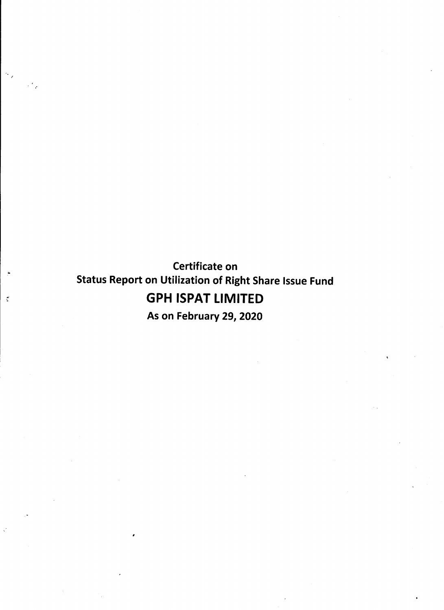Certificate on Status Report on Utilization of Right Share Issue Fund GPH ISPAT LIMITED

 $\sim$ 

 $\frac{1}{2}$ 

لي الأن

As on February 29, 2020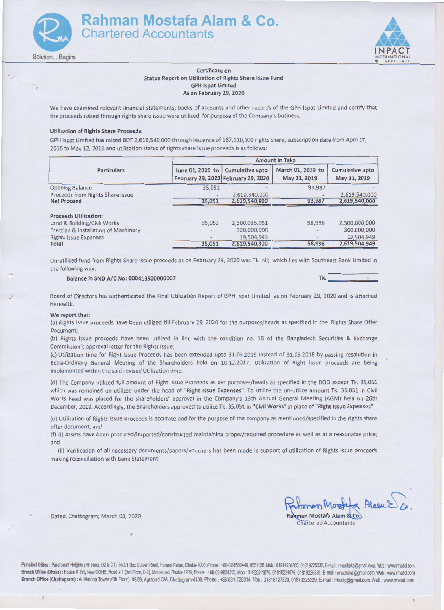



## Certificate on Status Report on Utilization of Rights Share Issue Fund **GPH Ispat Limited** As on February 29, 2020

We have examined relevant financial statements, books of accounts and other records of the GPH Ispat Limited and certify that the proceeds raised through rights share issue were utilized for purpose of the Company's business.

### Utilization of Rights Share Proceeds:

GPH lspat Limited has raised BDT 2,619,540,000 through issuance of 187,110,000 rights share, subscription date from April 17, 2016 to May 12, 2016 and utilization status of rights share issue proceeds is as follows:

|                                      | <b>Amount in Taka</b> |                                                        |                                   |                                 |  |  |  |
|--------------------------------------|-----------------------|--------------------------------------------------------|-----------------------------------|---------------------------------|--|--|--|
| <b>Particulars</b>                   | June 01, 2019 to      | Cumulative upto<br>February 29, 2020 February 29, 2020 | March 01, 2019 to<br>May 31, 2019 | Cumulative upto<br>May 31, 2019 |  |  |  |
| <b>Opening Balance</b>               | 35,051                |                                                        | 93,987                            |                                 |  |  |  |
| Proceeds from Rights Share Issue     |                       | 2,619,540,000                                          |                                   | 2,619,540,000                   |  |  |  |
| <b>Net Proceed</b>                   | 35,051                | 2,619,540,000                                          | 93,987                            | 2,619,540,000                   |  |  |  |
| <b>Proceeds Utilization:</b>         |                       |                                                        |                                   |                                 |  |  |  |
| Land & Building/Civil Works          | 35,051                | 2,300,035,051                                          | 58,936                            | 2,300,000,000                   |  |  |  |
| Erection & Installation of Machinery |                       | 300,000,000                                            |                                   | 300,000,000                     |  |  |  |
| <b>Rights Issue Expenses</b>         |                       | 19,504,949                                             |                                   | 19,504,949                      |  |  |  |
| Total                                | 35,051                | 2,619,540,000                                          | 58,936                            | 2,619,504,949                   |  |  |  |

Un-utilized fund from Rights Share Issue proceeds as on February 29, 2020 was Tk. nil; which lies with Southeast Bank Limited in the following way:

## Balance in SND A/C No: 000413500000007 Tk.

Board of Directors has authenticated the Final Utilization Report of GPH lspat Limited as on February 29, 2020 and is attached herewith.

#### We report that:

(a) Rights Issue proceeds have been utilized till February 29, 2020 for the purposes/heads as specified in the Rights Share Offer Document;

(b) Rights Issue proceeds have been utilized in line with the condition no. 18 of the Bangladesh Securities & Exchange Commission's approval letter for the Rights Issue;

(c) Utilization time for Right Issue Proceeds has been extended upto 31.05.2019 instead of 31.05.2018 by passing resolution in Extra-Ordinary General Meeting of the Shareholders held on 10.12.2017. Utilization of Right issue proceeds are being implemented within the said revised Utilization time

(d) The Company utilized full amount of Right Issue Proceeds as per purposes/heads as specified in the ROD except Tk. 35,0Sl which was remained un-utilized under the head of "Right Issue Expenses". To utilize the un-utilize amount Tk. 35,051 in Civil Works head was placed for the shareholders' approval in the Company's 13th Annual General Meeting (AGM) held on 26th December, 2019. Accordingly, the Shareholders approved to utilize Tk. 35,051 in "Civil Works" in place of "Right Issue Expenses".

(e) Utilization of Rights Issue proceeds is accurate and for the purpose of the company as mentioned/specified m the rights share offer document; and

(f) (i) Assets have been procured/imported/constructed maintaining proper/required procedure as well as at a reasonable price; and

(ii) Verification of all necessary documents/papers/vouchers has been made in support of utilization of Rights Issue proceeds making reconciliation with Bank Statement.

Dated, Chattogram; March 03, 2020 Rahman Mostafa Alam & Co.

Principal Office: Paramount Heights (7th Floor, D2 & C1), 65/2/1 Box Culvert Road, Purana Paltan, Dhaka-1000, Phone.: +88-02-9553449, 9551128, Mob: 01914284705, 01819225339, E-mail : madhaka@gmail.com, Web : www.rmabd.com Branch Office (Dhaka): House # 195, New DOHS, Road # 1 (3rd Floor, C-3), Mohakhali, Dhaka-1206, Phone: +88-02-9834313, Mob: 01920911976, 01819224976, 01819225339, E-mail : rmadhaka@gmail.com, Web: www.rmabd.com Branch Office (Chattogram) : Al Madina Tower (6th Floor), 88/89, Agrabad C/A, Chattogram-4100, Phone : +88-031-725314, Mob : 01818127520, 01819225339, E-mail : mactg@gmail.com, Web : www.rmabd.com